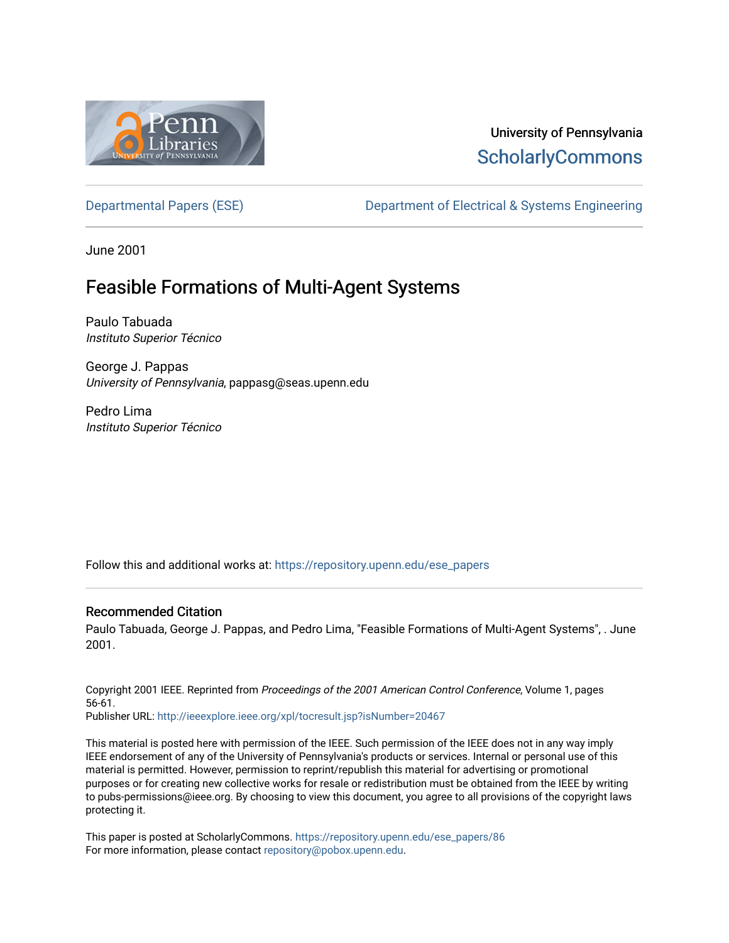

# University of Pennsylvania **ScholarlyCommons**

[Departmental Papers \(ESE\)](https://repository.upenn.edu/ese_papers) [Department of Electrical & Systems Engineering](https://repository.upenn.edu/ese) 

June 2001

# Feasible Formations of Multi-Agent Systems

Paulo Tabuada Instituto Superior Técnico

George J. Pappas University of Pennsylvania, pappasg@seas.upenn.edu

Pedro Lima Instituto Superior Técnico

Follow this and additional works at: [https://repository.upenn.edu/ese\\_papers](https://repository.upenn.edu/ese_papers?utm_source=repository.upenn.edu%2Fese_papers%2F86&utm_medium=PDF&utm_campaign=PDFCoverPages)

### Recommended Citation

protecting it.

Paulo Tabuada, George J. Pappas, and Pedro Lima, "Feasible Formations of Multi-Agent Systems", . June 2001.

Copyright 2001 IEEE. Reprinted from Proceedings of the 2001 American Control Conference, Volume 1, pages 56-61. Publisher URL:<http://ieeexplore.ieee.org/xpl/tocresult.jsp?isNumber=20467>

This material is posted here with permission of the IEEE. Such permission of the IEEE does not in any way imply IEEE endorsement of any of the University of Pennsylvania's products or services. Internal or personal use of this material is permitted. However, permission to reprint/republish this material for advertising or promotional purposes or for creating new collective works for resale or redistribution must be obtained from the IEEE by writing to pubs-permissions@ieee.org. By choosing to view this document, you agree to all provisions of the copyright laws

This paper is posted at ScholarlyCommons. [https://repository.upenn.edu/ese\\_papers/86](https://repository.upenn.edu/ese_papers/86) For more information, please contact [repository@pobox.upenn.edu.](mailto:repository@pobox.upenn.edu)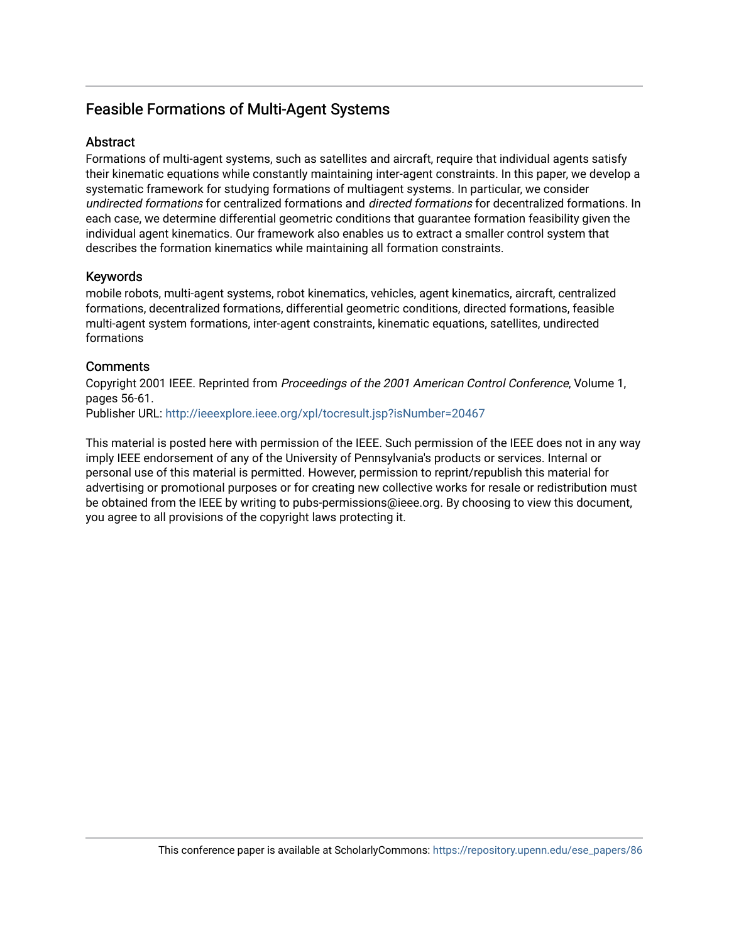## Feasible Formations of Multi-Agent Systems

## **Abstract**

Formations of multi-agent systems, such as satellites and aircraft, require that individual agents satisfy their kinematic equations while constantly maintaining inter-agent constraints. In this paper, we develop a systematic framework for studying formations of multiagent systems. In particular, we consider undirected formations for centralized formations and directed formations for decentralized formations. In each case, we determine differential geometric conditions that guarantee formation feasibility given the individual agent kinematics. Our framework also enables us to extract a smaller control system that describes the formation kinematics while maintaining all formation constraints.

### Keywords

mobile robots, multi-agent systems, robot kinematics, vehicles, agent kinematics, aircraft, centralized formations, decentralized formations, differential geometric conditions, directed formations, feasible multi-agent system formations, inter-agent constraints, kinematic equations, satellites, undirected formations

## **Comments**

Copyright 2001 IEEE. Reprinted from Proceedings of the 2001 American Control Conference, Volume 1, pages 56-61.

Publisher URL: <http://ieeexplore.ieee.org/xpl/tocresult.jsp?isNumber=20467>

This material is posted here with permission of the IEEE. Such permission of the IEEE does not in any way imply IEEE endorsement of any of the University of Pennsylvania's products or services. Internal or personal use of this material is permitted. However, permission to reprint/republish this material for advertising or promotional purposes or for creating new collective works for resale or redistribution must be obtained from the IEEE by writing to pubs-permissions@ieee.org. By choosing to view this document, you agree to all provisions of the copyright laws protecting it.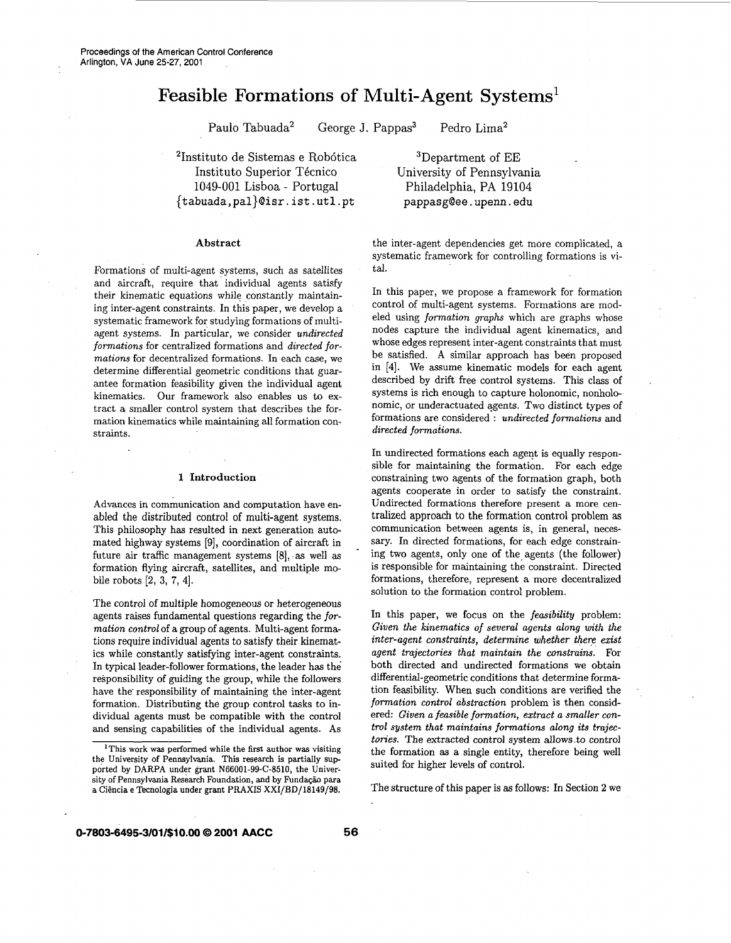## **Feasible Formations of Multi-Agent Systems'**

Paulo Tabuada<sup>2</sup> George J. Pappas<sup>3</sup> Pedro Lima<sup>2</sup>

<sup>2</sup>Instituto de Sistemas e Robótica Instituto Superior Técnico 1049-001 Lisboa - Portugal *{tabuada,pal}@isr. ist .ut1 .pt* 

#### Abstract

Formations of multi-agent systems, such as satellites and aircraft, require that individual agents satisfy their kinematic equations while constantly maintaining inter-agent constraints. In this paper, we develop a systematic framework for studying formations of multiagent systems. In particular, we consider *undirected formations* for centralized formations and *directed formations* for decentralized formations. In each case, we determine differential geometric conditions that guarantee formation feasibility given the individual agent kinematics. Our framework also enables us to extract a smaller control system that describes the formation kinematics while maintaining all formation constraints.

#### 1 Introduction

Advances in communication and computation have enabled the distributed control of multi-agent systems. This philosophy has resulted in next generation automated highway systems **[9],** coordination of aircraft in future air traffic management systems [8], as well as formation flying aircraft, satellites, and multiple mobile robots **12, 3,** 7, 41.

The control of multiple homogeneous or heterogeneous agents raises fundamental questions regarding the *formation control* of a group of agents. Multi-agent formations require individual agents to satisfy their kinematics while constantly satisfying inter-agent constraints. In typical leader-follower formations, the leader has the responsibility of guiding the group, while the followers have the responsibility of maintaining the inter-agent formation. Distributing the group control tasks to individual agents must be compatible with the control and sensing capabilities of the individual agents. **As** 

3Department of EE University of Pennsylvania Philadelphia, PA 19104 *[pappasg@ee.upenn.edu](mailto:pappasg@ee.upenn.edu)* 

the inter-agent dependencies get more complicated, a systematic framework for controlling formations is vital.

In this paper, we propose a framework for formation control of multi-agent systems. Formations are modeled using *formation graphs* which are graphs whose nodes capture the individual agent kinematics, and whose edges represent inter-agent constraints that must be satisfied. **A** similar approach has been proposed in **[4].** We assume kinematic models for each agent described by drift **free** control systems. This class of systems is rich enough to capture holonomic, nonholonomic, or underactuated agents. Two distinct types of formations are considered : *undirected formations* and *directed formations.* 

In undirected formations each agent is equally responsible for maintaining the formation. For each edge constraining two agents of the formation graph, both agents cooperate in order to satisfy the constraint. Undirected formations therefore present a more centralized approach to the formation control problem **as**  communication between agents is, in general, necessary. In directed formations, for each edge constraining two agents, only one of the agents (the follower) is responsible for maintaining the constraint. Directed formations, therefore, represent a more decentralized solution to the formation control problem.

In this paper, we focus on the *feasibility* problem: *Given the kinematics* of *several agents along with the inter-agent constraints, determine whether there exist agent trajectories that maintain the constrains.* For both directed and undirected formations we obtain differential-geometric conditions that determine formation feasibility. When such conditions are verified the *formation control abstraction* problem is then considered: *Given a feasible formation, extract a smaller control system that maintains formations along its trajectories.* The extracted control system allows to control the formation **as** a single entity, therefore being well suited for higher levels of control.

The structure of this paper is **as** follows: In Section **2** we

\*

**<sup>&#</sup>x27;This work was performed while the first author was visiting**  the University of Pennsylvania. This research is partially sup**ported** by **DARPA under grant N66001-99-C-8510, the Univer** $s$ ity of Pennsylvania Research Foundation, and by Fundação para **a Cidncia e Tecnologia under grant PRAXIS XXI/BD/18149/98.**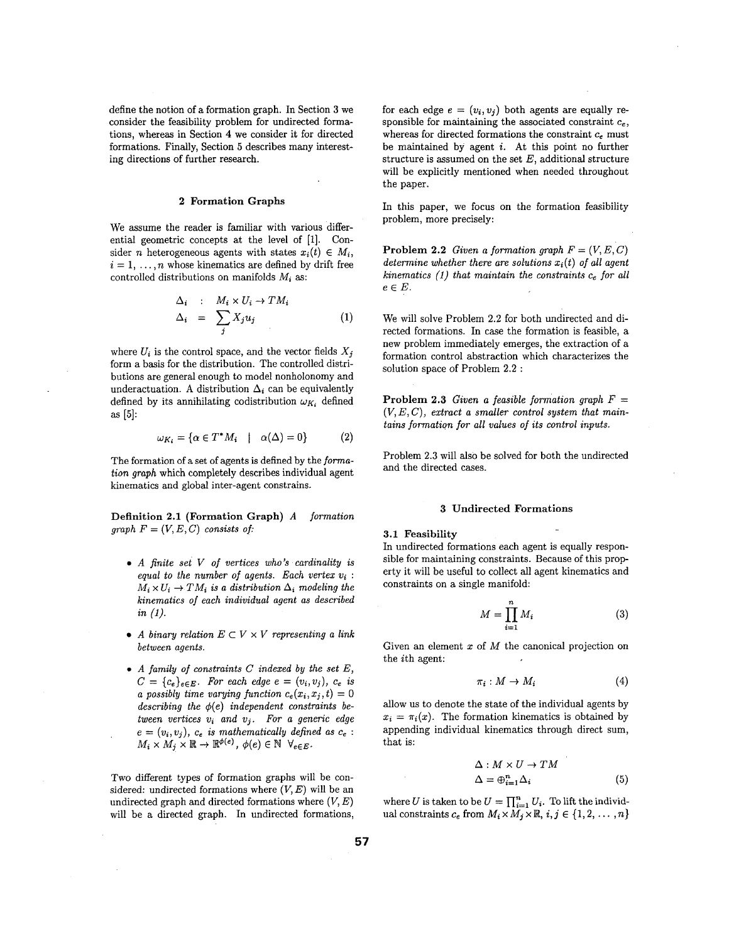define the notion of a formation graph. In Section **3** we consider the feasibility problem for undirected formations, whereas in Section **4** we consider it for directed formations. Finally, Section **5** describes many interesting directions of further research.

#### **2** Formation Graphs

We assume the reader is familiar with various differential geometric concepts at the level of **[l].** Consider *n* heterogeneous agents with states  $x_i(t) \in M_i$ ,  $i = 1, \ldots, n$  whose kinematics are defined by drift free controlled distributions on manifolds *Mi* **as:** 

$$
\Delta_i : M_i \times U_i \to TM_i
$$
  
\n
$$
\Delta_i = \sum_j X_j u_j
$$
 (1)

where  $U_i$  is the control space, and the vector fields  $X_i$ form a basis for the distribution. The controlled distributions are general enough to model nonholonomy and underactuation. A distribution  $\Delta_i$  can be equivalently defined by its annihilating codistribution  $\omega_{K_i}$  defined as **[5]:** 

$$
\omega_{K_i} = \{ \alpha \in T^* M_i \mid \alpha(\Delta) = 0 \}
$$
 (2)

The formation of a set of agents is defined by the *formation graph* which completely describes individual agent kinematics and global inter-agent constrains.

Definition **2.1** (Formation **Graph)** *A graph*  $F = (V, E, C)$  *consists of: formation* 

- **<sup>e</sup>***A finite set V of vertices who's cardinality is equal to the number of agents. Each vertex vi* :  $M_i \times U_i \rightarrow TM_i$  *is a distribution*  $\Delta_i$  *modeling the kinematics of each individual agent as described in (1).*
- *A binary relation*  $E \subset V \times V$  *representing a link between agents.*
- **<sup>e</sup>***A family of constraints C indexed by the set E,*   $C = \{c_e\}_{e \in E}$ . For each edge  $e = (v_i, v_j)$ ,  $c_e$  is *a possibly time varying function*  $c_e(x_i, x_j, t) = 0$ describing the  $\phi(e)$  independent constraints be*tween vertices vi and vi. For a generic edge*   $e = (v_i, v_j)$ ,  $c_e$  is mathematically defined as  $c_e$ :  $M_i \times M_j \times \mathbb{R} \to \mathbb{R}^{\phi(e)}$ ,  $\phi(e) \in \mathbb{N}$   $\forall_{e \in E}$ .

Two different types of formation graphs will be considered: undirected formations where  $(V, E)$  will be an undirected graph and directed formations where *(V, E)*  will be a directed graph. In undirected formations, for each edge  $e = (v_i, v_j)$  both agents are equally responsible for maintaining the associated constraint  $c_e$ , whereas for directed formations the constraint  $c_e$  must be maintained by agent *i.* At this point no further structure is assumed on the set *E,* additional structure will be explicitly mentioned when needed throughout the paper.

In this paper, we focus on the formation feasibility problem, more precisely:

Problem 2.2 *Given a formation graph*  $F = (V, E, C)$ *determine whether there are solutions*  $x_i(t)$  *of all agent kinematics (1) that maintain the constraints ce for all e E E.* 

We will solve Problem **2.2** for both undirected and directed formations. In case the formation is feasible, a new problem immediately emerges, the extraction of a formation control abstraction which characterizes the solution space of Problem **2.2** :

**Problem 2.3** *Given a feasible formation graph*  $F =$ *(V, E, C), extract a smaller control system that maintains formation for all values of its control inputs.* 

Problem **2.3** will also be solved for both the undirected and the directed cases.

#### **3** Undirected **Formations**

#### **3.1** Feasibility

In undirected formations each agent is equally responsible for maintaining constraints. Because of this property it will be useful to collect all agent kinematics and constraints on a single manifold:

$$
M = \prod_{i=1}^{n} M_i \tag{3}
$$

Given an element *x* of *M* the canonical projection on the ith agent:

$$
\pi_i: M \to M_i \tag{4}
$$

allow us to denote the state of the individual agents by  $x_i = \pi_i(x)$ . The formation kinematics is obtained by appending individual kinematics through direct sum, that is:

$$
\Delta: M \times U \to TM
$$
  
\n
$$
\Delta = \bigoplus_{i=1}^{n} \Delta_i
$$
 (5)

where *U* is taken to be  $U = \prod_{i=1}^{n} U_i$ . To lift the individual constraints  $c_e$  from  $M_i \times M_j \times \mathbb{R}$ ,  $i, j \in \{1, 2, \ldots, n\}$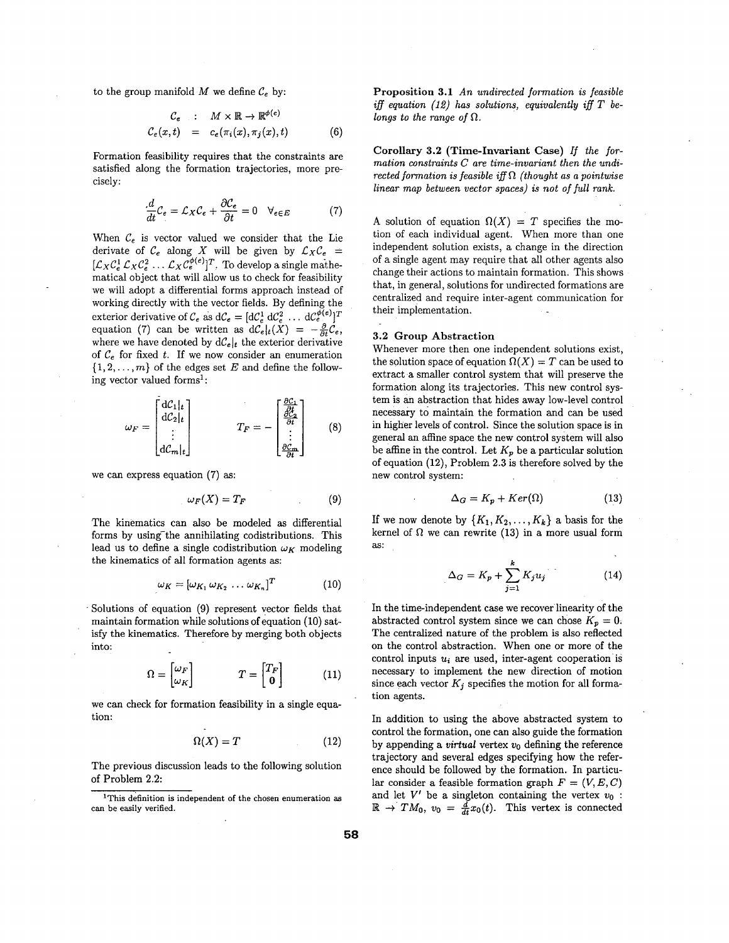to the group manifold  $M$  we define  $C_e$  by:

$$
C_e : M \times \mathbb{R} \to \mathbb{R}^{\phi(e)}
$$
  

$$
C_e(x,t) = c_e(\pi_i(x), \pi_j(x), t)
$$
 (6)

Formation feasibility requires that the constraints are satisfied along the formation trajectories, more precisely:

$$
\frac{d}{dt}\mathcal{C}_e = \mathcal{L}_X \mathcal{C}_e + \frac{\partial \mathcal{C}_e}{\partial t} = 0 \quad \forall_{e \in E} \tag{7}
$$

When  $\mathcal{C}_e$  is vector valued we consider that the Lie derivate of  $C_e$  along X will be given by  $\mathcal{L}_X C_e$  =  $[\mathcal{L}_X \mathcal{C}^1_e \; \mathcal{L}_X \mathcal{C}^2_e \; \dots \; \mathcal{L}_X \mathcal{C}^{\phi(e)}_e]^T$  . To develop a single mathematical object that will allow us to check for feasibility we will adopt a differential forms approach instead of working directly with the vector fields. By defining the exterior derivative of  $C_e$  as  $dC_e = [dC_e^1 dC_e^2 \dots dC_e^{\phi(e)}]^T$ equation (7) can be written as  $dC_e|_t(X) = -\frac{\partial}{\partial t}\dot{C}_e$ , where we have denoted by  $dC_e|_t$  the exterior derivative of  $\mathcal{C}_e$  for fixed  $t$ . If we now consider an enumeration  $\{1, 2, \ldots, m\}$  of the edges set E and define the following vector valued forms':

$$
\omega_F = \begin{bmatrix} dC_1|_t \\ dC_2|_t \\ \vdots \\ dC_m|_t \end{bmatrix} \qquad T_F = - \begin{bmatrix} \frac{\partial C_1}{\partial t_2} \\ \frac{\partial C_2}{\partial t} \\ \vdots \\ \frac{\partial C_m}{\partial t} \end{bmatrix} \qquad (8)
$$

we can express equation (7) **as:** 

$$
\omega_F(X) = T_F \tag{9}
$$

The kinematics can also be modeled as differential forms by using-the annihilating codistributions. This lead us to define a single codistribution  $\omega_K$  modeling the kinematics of all formation agents as:

$$
\omega_K = [\omega_{K_1} \omega_{K_2} \dots \omega_{K_n}]^T
$$
 (10)

. Solutions of equation **(9)** represent vector fields that maintain formation while solutions of equation (10) satisfy the kinematics. Therefore by merging both objects into:

$$
\Omega = \begin{bmatrix} \omega_F \\ \omega_K \end{bmatrix} \qquad \qquad T = \begin{bmatrix} T_F \\ \mathbf{0} \end{bmatrix} \tag{11}
$$

we can check for formation feasibility in a single equation:

$$
\Omega(X) = T \tag{12}
$$

The previous discussion leads to the following solution of Problem 2.2:

Proposition **3.1** *An undirected formation is feasible iff equation (12) has solutions, equivalently iff T belongs to the range of*  $\Omega$ *.* 

Corollary **3.2** (Time-Invariant **Case)** *If the formation constraints* C *are time-invariant then the undirected formation is feasible iff* R *(thought as a pointwise linear map between vector spaces) is not of full rank.* 

A solution of equation  $\Omega(X) = T$  specifies the motion of each individual agent. When more than one independent solution exists, a change in the direction of a single agent may require that all other agents also change their actions to maintain formation. This shows that, in general, solutions for undirected formations are centralized and require inter-agent communication for their implementation.

#### **3.2** Group Abstraction

Whenever more then one independent solutions exist, the solution space of equation  $\Omega(X) = T$  can be used to extract a smaller control system that will preserve the formation along its trajectories. This new control system is an abstraction that hides away low-level control necessary to maintain the formation and can be used in higher levels of control. Since the solution space is in general an affine space the new control system will also be affine in the control. Let  $K_p$  be a particular solution of equation **(12),** Problem **2.3** is therefore solved by the new control system:

$$
\Delta_G = K_p + Ker(\Omega) \tag{13}
$$

If we now denote by  $\{K_1, K_2, \ldots, K_k\}$  a basis for the kernel of  $\Omega$  we can rewrite (13) in a more usual form **as:** 

$$
\Delta_G = K_p + \sum_{j=1}^k K_j u_j \tag{14}
$$

In the time-independent case we recover linearity of the abstracted control system since we can chose  $K_p = 0$ . The centralized nature of the problem is also reflected on the control abstraction. When one or more of the control inputs *ui* are used, inter-agent cooperation is necessary to implement the new direction of motion since each vector  $K_j$  specifies the motion for all formation agents.

In addition to using the above abstracted system to control the formation, one can also guide the formation by appending a *virtual* vertex *vo* defining the reference trajectory and several edges specifying how the reference should be followed by the formation. In particular consider a feasible formation graph  $F = (V, E, C)$ and let  $V'$  be a singleton containing the vertex  $v_0$ :  $\mathbb{R} \to TM_0$ ,  $v_0 = \frac{d}{dt}x_0(t)$ . This vertex is connected

**<sup>&#</sup>x27;This definition is independent** of **the chosen enumeration as can be easily verified.**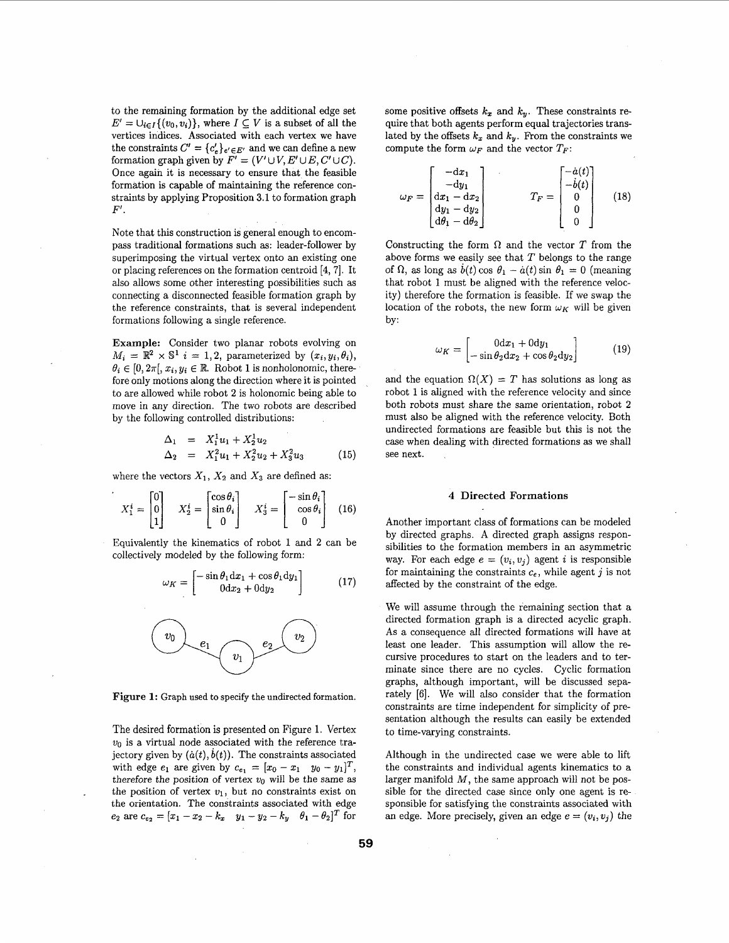to the remaining formation by the additional edge set  $E' = \bigcup_{i \in I} \{(v_0, v_i)\}\$ , where  $I \subseteq V$  is a subset of all the vertices indices. Associated with each vertex we have the constraints  $C' = \{c'_e\}_{e' \in E'}$  and we can define a new formation graph given by  $F' = (V' \cup V, E' \cup E, C' \cup C)$ . Once again it is necessary to ensure that the feasible formation is capable of maintaining the reference constraints by applying Proposition **3.1** to formation graph *F'.* 

Note that this construction is general enough to encompass traditional formations such **as:** leader-follower by superimposing the virtual vertex onto an existing one or placing references on the formation centroid **[4,** 71. It also allows some other interesting possibilities such as connecting a disconnected feasible formation graph by the reference constraints, that is several independent formations following a single reference.

Example: Consider two planar robots evolving on  $M_i = \mathbb{R}^2 \times \mathbb{S}^1$  *i* = 1,2, parameterized by  $(x_i, y_i, \theta_i)$ ,  $\theta_i \in [0, 2\pi], x_i, y_i \in \mathbb{R}$ . Robot 1 is nonholonomic, therefore only motions along the direction where it is pointed to are allowed while robot **2** is holonomic being able to move in any direction. The two robots are described by the following controlled distributions:

$$
\Delta_1 = X_1^1 u_1 + X_2^1 u_2 \n\Delta_2 = X_1^2 u_1 + X_2^2 u_2 + X_3^2 u_3
$$
\n(15)

where the vectors  $X_1$ ,  $X_2$  and  $X_3$  are defined as:

$$
X_1^i = \begin{bmatrix} 0 \\ 0 \\ 1 \end{bmatrix} \quad X_2^i = \begin{bmatrix} \cos \theta_i \\ \sin \theta_i \\ 0 \end{bmatrix} \quad X_3^i = \begin{bmatrix} -\sin \theta_i \\ \cos \theta_i \\ 0 \end{bmatrix} \quad (16)
$$

Equivalently the kinematics of robot 1 and **2** can be collectively modeled by the following form:

$$
\omega_K = \begin{bmatrix} -\sin\theta_1 \mathrm{d}x_1 + \cos\theta_1 \mathrm{d}y_1 \\ 0 \mathrm{d}x_2 + 0 \mathrm{d}y_2 \end{bmatrix} \tag{17}
$$



Figure **1:** Graph used to specify the undirected formation.

The desired formation is presented on Figure 1. Vertex  $v_0$  is a virtual node associated with the reference trajectory given by  $(\dot{a}(t), \dot{b}(t))$ . The constraints associated with edge  $e_1$  are given by  $c_{e_1} = [x_0 - x_1 \ y_0 - y_1]^T$ , therefore the position of vertex  $v_0$  will be the same as the position of vertex  $v_1$ , but no constraints exist on the orientation. The constraints associated with edge  $e_2$  are  $c_{e_2} = [x_1 - x_2 - k_x \quad y_1 - y_2 - k_y \quad \theta_1 - \theta_2]^T$  for

.

some positive offsets  $k_x$  and  $k_y$ . These constraints require that both agents perform equal trajectories translated by the offsets  $k_x$  and  $k_y$ . From the constraints we compute the form  $\omega_F$  and the vector  $T_F$ :

$$
\omega_F = \begin{bmatrix} -\mathrm{d}x_1 \\ -\mathrm{d}y_1 \\ \mathrm{d}x_1 - \mathrm{d}x_2 \\ \mathrm{d}y_1 - \mathrm{d}y_2 \\ \mathrm{d}\theta_1 - \mathrm{d}\theta_2 \end{bmatrix} \qquad T_F = \begin{bmatrix} -\dot{a}(t) \\ -\dot{b}(t) \\ 0 \\ 0 \\ 0 \end{bmatrix} \qquad (18)
$$

Constructing the form  $\Omega$  and the vector  $T$  from the above forms we easily see that *T* belongs to the range of  $\Omega$ , as long as  $b(t)$  cos  $\theta_1 - \dot{a}(t)$  sin  $\theta_1 = 0$  (meaning that robot 1 must be aligned with the reference velocity) therefore the formation is feasible. If **we** swap the location of the robots, the new form  $\omega_K$  will be given by:

$$
\omega_K = \begin{bmatrix} 0dx_1 + 0dy_1 \\ -\sin\theta_2 dx_2 + \cos\theta_2 dy_2 \end{bmatrix}
$$
 (19)

and the equation  $\Omega(X) = T$  has solutions as long as robot 1 is aligned with the reference velocity and since both robots must share the same orientation, robot **2**  must also be aligned with the reference velocity. Both undirected formations are feasible but this is not the case when dealing with directed formations as we shall see next.

#### **4** Directed Formations

Another important class of formations can be modeled by directed graphs. A directed graph assigns responsibilities to the formation members in an asymmetric way. For each edge  $e = (v_i, v_j)$  agent *i* is responsible for maintaining the constraints *ce,* while agent *j* is not affected by the constraint of the edge.

We will assume through the remaining section that a directed formation graph is a directed acyclic graph. As a consequence all directed formations will have at least one leader. This assumption will allow the recursive procedures to start on the leaders and to terminate since there are no cycles. Cyclic formation graphs, although important, will be discussed separately [6]. We will also consider that the formation constraints are time independent for simplicity of presentation although the results can easily be extended to time-varying constraints.

Although in the undirected case we were able to lift the constraints and individual agents kinematics to a larger manifold *M,* the same approach will not be possible for the directed case since only one agent is responsible for satisfying the constraints associated with an edge. More precisely, given an edge  $e = (v_i, v_j)$  the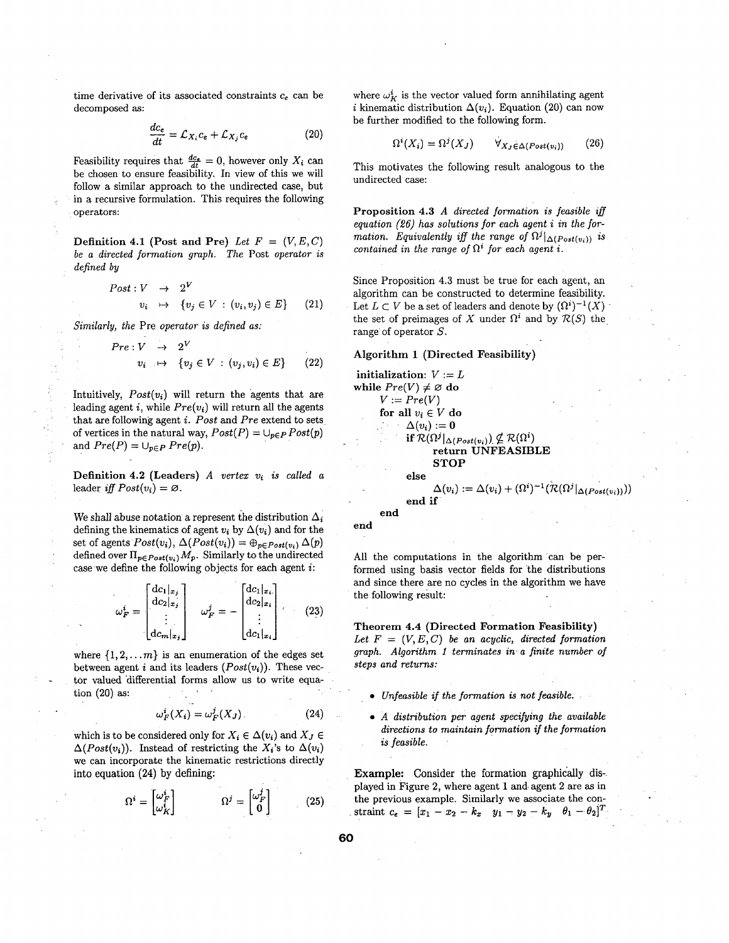time derivative of its associated constraints  $c_e$  can be decomposed **as:** 

$$
\frac{dc_e}{dt} = \mathcal{L}_{X_i} c_e + \mathcal{L}_{X_j} c_e
$$
 (20)

Feasibility requires that  $\frac{dc_e}{dt} = 0$ , however only  $X_i$  can be chosen to ensure feasibility. In view of this we will follow a similar approach to the undirected case, but in a recursive formulation. This requires the following operators:

**Definition 4.1 (Post and Pre)** Let  $F = (V, E, C)$ *be a directed formation graph. The* Post *operator is defined by* 

$$
Post: V \rightarrow 2^{V}
$$
  

$$
v_i \mapsto \{v_j \in V : (v_i, v_j) \in E\}
$$
 (21)

*Similarly, the* Pre *operator is defined as:* 

$$
Pre: V \rightarrow 2^V
$$
  

$$
v_i \rightarrow \{v_j \in V : (v_j, v_i) \in E\}
$$
 (22)

Intuitively,  $Post(v_i)$  will return the agents that are leading agent *i,* while *Pre(wi)* will return all the agents that are following agent *i. Post* and *Pre* extend to sets of vertices in the natural way,  $Post(P) = \bigcup_{p \in P} Post(p)$ and  $Pre(P) = \bigcup_{p \in P} Pre(p)$ .

**Definition 4.2 (Leaders)** *A vertez vi is called* a leader *iff*  $Post(v_i) = \emptyset$ .

We shall abuse notation a represent the distribution  $\Delta_i$ defining the kinematics of agent  $v_i$  by  $\Delta(v_i)$  and for the set of agents  $Post(v_i)$ ,  $\Delta (Post(v_i)) = \bigoplus_{p \in Post(v_i)} \Delta(p)$ defined over  $\Pi_{p\in Post(v_i)}M_p$ . Similarly to the undirected case we define the following objects for each agent *i:* 

$$
\omega_F^i = \begin{bmatrix} d c_1 |_{x_i} \\ d c_2 |_{x_i} \\ \vdots \\ d c_m |_{x_j} \end{bmatrix} \quad \omega_F^j = - \begin{bmatrix} d c_1 |_{x_i} \\ d c_2 |_{x_i} \\ \vdots \\ d c_1 |_{x_i} \end{bmatrix} \qquad (23)
$$

where  $\{1,2,\ldots,m\}$  is an enumeration of the edges set between agent *i* and its leaders  $(Post(v_i))$ . These vector valued differential forms allow us to write equation (20) **as:** 

$$
\omega_F^i(X_i) = \omega_F^j(X_J) \tag{24}
$$

which is to be considered only for  $X_i \in \Delta(v_i)$  and  $X_j \in$  $\Delta(Post(v_i))$ . Instead of restricting the  $X_i$ 's to  $\Delta(v_i)$ we can incorporate the kinematic restrictions directly into equation **(24)** by defining:

$$
\Omega^i = \begin{bmatrix} \omega_F^i \\ \omega_K^j \end{bmatrix} \qquad \qquad \Omega^j = \begin{bmatrix} \omega_F^j \\ 0 \end{bmatrix} \qquad (25)
$$

where  $\omega_K^i$  is the vector valued form annihilating agent *i* kinematic distribution  $\Delta(v_i)$ . Equation (20) can now be further modified to the following form.

$$
\Omega^{i}(X_{i}) = \Omega^{j}(X_{J}) \qquad \forall_{X_{J} \in \Delta(Post(v_{i}))} \qquad (26)
$$

This motivates the following result analogous to the undirected case:

**Proposition 4.3** *A directed formation is feasible iff equation (26) has solutions for each agent i in the formation.* Equivalently iff the range of  $\Omega^j|_{\Delta (Post(v_i))}$  is *contained in the range of*  $\Omega^i$  *for each agent i.* 

Since Proposition **4.3** must be true for each agent, an algorithm can be constructed to determine feasibility. Let  $L \subset V$  be a set of leaders and denote by  $(\Omega^i)^{-1}(X)$ the set of preimages of *X* under  $\Omega^i$  and by  $\mathcal{R}(S)$  the range of operator *S.* 

#### **Algorithm 1 (Directed Feasibility)**

**initialization:**  $V := L$ while  $Pre(V) \neq \emptyset$  do  $V := Pre(V)$ for all  $v_i \in V$  do  $\Delta(v_i):=0$ if  $\mathcal{R}(\Omega^j|_{\Delta (Post(v_i))}) \nsubseteq \mathcal{R}(\Omega^i)$ return UNFEASIBLE **STOP** else  $\Delta(v_i) := \Delta(v_i) + (\Omega^i)^{-1}(\mathcal{R}(\Omega^j|_{\Delta(Post(v_i))}))$ end if

**end** 

**end** 

All the computations in the algorithm can be performed using basis vector fields for the distributions and since there are no cycles in the algorithm we have the following result:

**Theorem 4.4 (Directed Formation Feasibility)**  Let  $F = (V, E, C)$  be an acyclic, directed formation *graph. Algorithm 1 terminates in a finite number of steps and returns:* 

- *<sup>0</sup>Unfeasible if the formation is not feasible.*
- *0 A distribution per agent specifiing the available directions to maintain formation if the formation is feasible.*

**Example:** Consider the formation graphically displayed in Figure **2,** where agent **1** and agent **2** are **as** in the previous example. Similarly we associate the con- $\text{strain } c_e = [x_1 - x_2 - k_x \quad y_1 - y_2 - k_y \quad \theta_1 - \theta_2]^T$